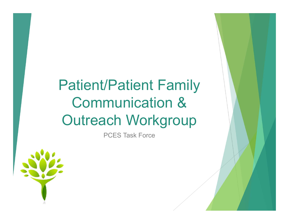# Patient/Patient Family Communication & Outreach Workgroup /Patient Family<br>munication &<br>ach Workgroup<br>PCES Task Force

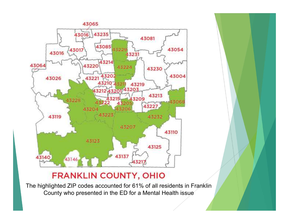

#### **FRANKLIN COUNTY, OHIO**

The highlighted ZIP codes accounted for 61% of all residents in Franklin County who presented in the ED for a Mental Health issue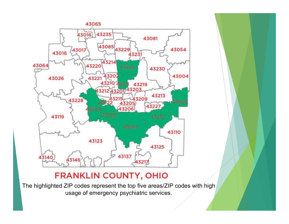

### **FRANKLIN COUNTY, OHIO**

The highlighted ZIP codes represent the top five areas/ZIP codes with high usage of emergency psychiatric services.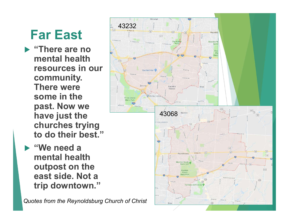# Far East

- ▶ "There are no mental health **the set of the set of the set of the set of the set of the set of the set of the set of the set of the set of the set of the set of the set of the set of the set of the set of the set of the set of the set o** resources in our community. There were some in the past. Now we have just the churches trying to do their best."
- "We need a mental health outpost on the east side. Not a trip downtown."

Quotes from the Reynoldsburg Church of Christ

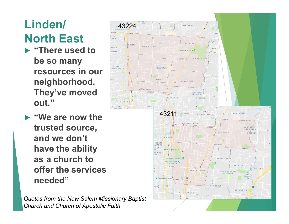## Linden/ North East

- **Extract There used to the second to the Second Tracta** be so many resources in our neighborhood. They've moved out."
- "We are now the trusted source, and we don't have the ability as a church to offer the services needed"

Quotes from the New Salem Missionary Baptist Church and Church of Apostolic Faith

OLD NORTH

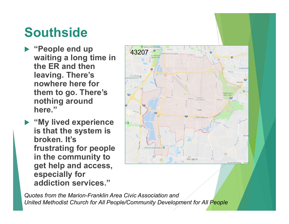## **Southside**

- "People end up waiting a long time in the ER and then leaving. There's nowhere here for them to go. There's nothing around here."
- **My lived experience** is that the system is broken. It's frustrating for people in the community to get help and access, especially for addiction services."



Quotes from the Marion-Franklin Area Civic Association and United Methodist Church for All People/Community Development for All People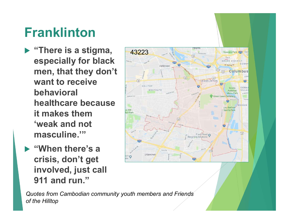# Franklinton

- ▶ "There is a stigma, especially for black men, that they don't want to receive behavioral healthcare because it makes them 'weak and not masculine.'"
- "When there's a crisis, don't get involved, just call 911 and run."



Quotes from Cambodian community youth members and Friends of the Hilltop